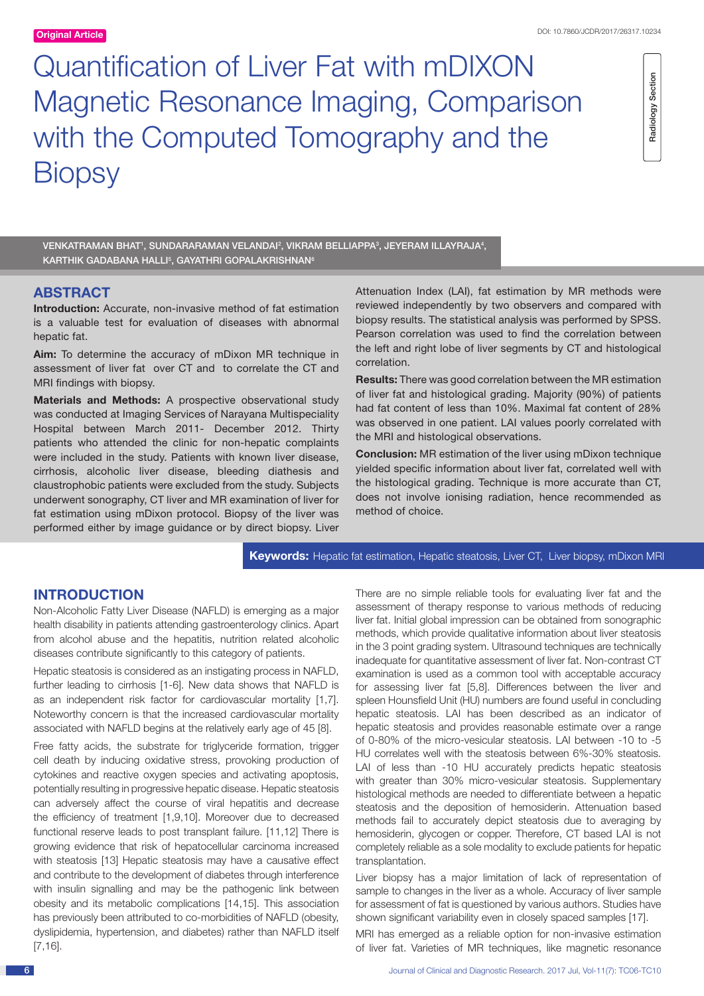Quantification of Liver Fat with mDIXON Magnetic Resonance Imaging, Comparison with the Computed Tomography and the **Biopsy** 

Radiology Section Radiology Section

VENKATRAMAN BHAT', SUNDARARAMAN VELANDAI<del>'</del>, VIKRAM BELLIAPPA<sup>3</sup>, JEYERAM ILLAYRAJA<del>'</del>, KARTHIK GADABANA HALLI5, GAYATHRI GOPALAKRISHNAN6

## **ABSTRACT**

**Introduction:** Accurate, non-invasive method of fat estimation is a valuable test for evaluation of diseases with abnormal hepatic fat.

**Aim:** To determine the accuracy of mDixon MR technique in assessment of liver fat over CT and to correlate the CT and MRI findings with biopsy.

**Materials and Methods:** A prospective observational study was conducted at Imaging Services of Narayana Multispeciality Hospital between March 2011- December 2012. Thirty patients who attended the clinic for non-hepatic complaints were included in the study. Patients with known liver disease, cirrhosis, alcoholic liver disease, bleeding diathesis and claustrophobic patients were excluded from the study. Subjects underwent sonography, CT liver and MR examination of liver for fat estimation using mDixon protocol. Biopsy of the liver was performed either by image guidance or by direct biopsy. Liver Attenuation Index (LAI), fat estimation by MR methods were reviewed independently by two observers and compared with biopsy results. The statistical analysis was performed by SPSS. Pearson correlation was used to find the correlation between the left and right lobe of liver segments by CT and histological correlation.

**Results:** There was good correlation between the MR estimation of liver fat and histological grading. Majority (90%) of patients had fat content of less than 10%. Maximal fat content of 28% was observed in one patient. LAI values poorly correlated with the MRI and histological observations.

**Conclusion:** MR estimation of the liver using mDixon technique yielded specific information about liver fat, correlated well with the histological grading. Technique is more accurate than CT, does not involve ionising radiation, hence recommended as method of choice.

**Keywords:** Hepatic fat estimation, Hepatic steatosis, Liver CT, Liver biopsy, mDixon MRI

## **Introduction**

Non-Alcoholic Fatty Liver Disease (NAFLD) is emerging as a major health disability in patients attending gastroenterology clinics. Apart from alcohol abuse and the hepatitis, nutrition related alcoholic diseases contribute significantly to this category of patients.

Hepatic steatosis is considered as an instigating process in NAFLD, further leading to cirrhosis [1-6]. New data shows that NAFLD is as an independent risk factor for cardiovascular mortality [1,7]. Noteworthy concern is that the increased cardiovascular mortality associated with NAFLD begins at the relatively early age of 45 [8].

Free fatty acids, the substrate for triglyceride formation, trigger cell death by inducing oxidative stress, provoking production of cytokines and reactive oxygen species and activating apoptosis, potentially resulting in progressive hepatic disease. Hepatic steatosis can adversely affect the course of viral hepatitis and decrease the efficiency of treatment [1,9,10]. Moreover due to decreased functional reserve leads to post transplant failure. [11,12] There is growing evidence that risk of hepatocellular carcinoma increased with steatosis [13] Hepatic steatosis may have a causative effect and contribute to the development of diabetes through interference with insulin signalling and may be the pathogenic link between obesity and its metabolic complications [14,15]. This association has previously been attributed to co-morbidities of NAFLD (obesity, dyslipidemia, hypertension, and diabetes) rather than NAFLD itself [7,16].

There are no simple reliable tools for evaluating liver fat and the assessment of therapy response to various methods of reducing liver fat. Initial global impression can be obtained from sonographic methods, which provide qualitative information about liver steatosis in the 3 point grading system. Ultrasound techniques are technically inadequate for quantitative assessment of liver fat. Non-contrast CT examination is used as a common tool with acceptable accuracy for assessing liver fat [5,8]. Differences between the liver and spleen Hounsfield Unit (HU) numbers are found useful in concluding hepatic steatosis. LAI has been described as an indicator of hepatic steatosis and provides reasonable estimate over a range of 0-80% of the micro-vesicular steatosis. LAI between -10 to -5 HU correlates well with the steatosis between 6%-30% steatosis. LAI of less than -10 HU accurately predicts hepatic steatosis with greater than 30% micro-vesicular steatosis. Supplementary histological methods are needed to differentiate between a hepatic steatosis and the deposition of hemosiderin. Attenuation based methods fail to accurately depict steatosis due to averaging by hemosiderin, glycogen or copper. Therefore, CT based LAI is not completely reliable as a sole modality to exclude patients for hepatic transplantation.

Liver biopsy has a major limitation of lack of representation of sample to changes in the liver as a whole. Accuracy of liver sample for assessment of fat is questioned by various authors. Studies have shown significant variability even in closely spaced samples [17].

MRI has emerged as a reliable option for non-invasive estimation of liver fat. Varieties of MR techniques, like magnetic resonance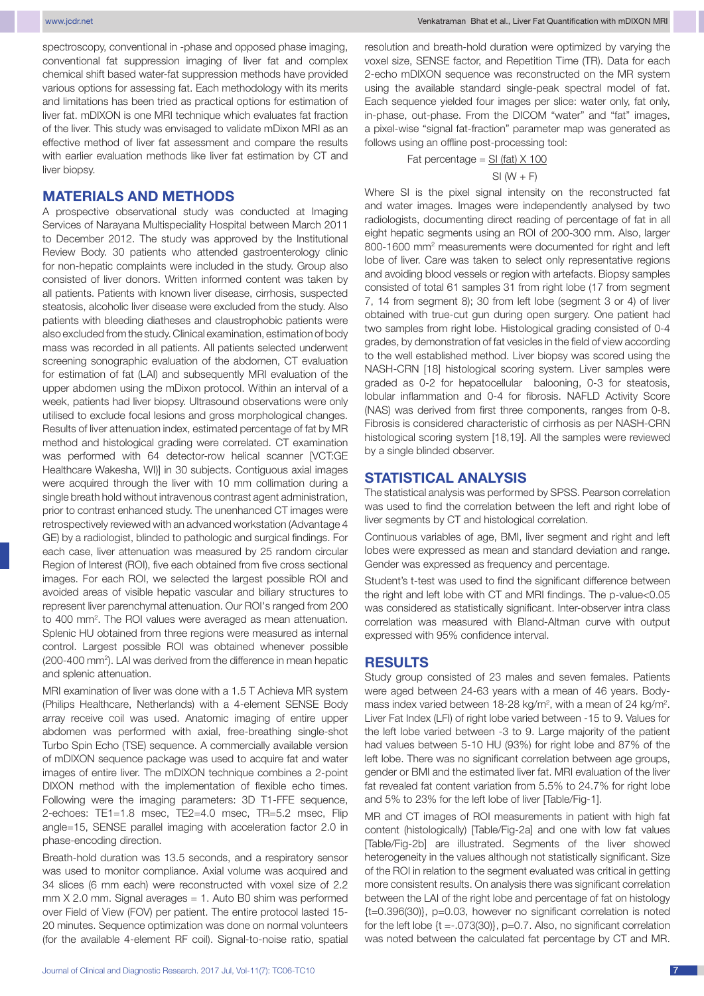spectroscopy, conventional in -phase and opposed phase imaging, conventional fat suppression imaging of liver fat and complex chemical shift based water-fat suppression methods have provided various options for assessing fat. Each methodology with its merits and limitations has been tried as practical options for estimation of liver fat. mDIXON is one MRI technique which evaluates fat fraction of the liver. This study was envisaged to validate mDixon MRI as an effective method of liver fat assessment and compare the results with earlier evaluation methods like liver fat estimation by CT and liver biopsy.

# **Materials and methods**

A prospective observational study was conducted at Imaging Services of Narayana Multispeciality Hospital between March 2011 to December 2012. The study was approved by the Institutional Review Body. 30 patients who attended gastroenterology clinic for non-hepatic complaints were included in the study. Group also consisted of liver donors. Written informed content was taken by all patients. Patients with known liver disease, cirrhosis, suspected steatosis, alcoholic liver disease were excluded from the study. Also patients with bleeding diatheses and claustrophobic patients were also excluded from the study. Clinical examination, estimation of body mass was recorded in all patients. All patients selected underwent screening sonographic evaluation of the abdomen, CT evaluation for estimation of fat (LAI) and subsequently MRI evaluation of the upper abdomen using the mDixon protocol. Within an interval of a week, patients had liver biopsy. Ultrasound observations were only utilised to exclude focal lesions and gross morphological changes. Results of liver attenuation index, estimated percentage of fat by MR method and histological grading were correlated. CT examination was performed with 64 detector-row helical scanner [VCT:GE Healthcare Wakesha, WI)] in 30 subjects. Contiguous axial images were acquired through the liver with 10 mm collimation during a single breath hold without intravenous contrast agent administration, prior to contrast enhanced study. The unenhanced CT images were retrospectively reviewed with an advanced workstation (Advantage 4 GE) by a radiologist, blinded to pathologic and surgical findings. For each case, liver attenuation was measured by 25 random circular Region of Interest (ROI), five each obtained from five cross sectional images. For each ROI, we selected the largest possible ROI and avoided areas of visible hepatic vascular and biliary structures to represent liver parenchymal attenuation. Our ROI's ranged from 200 to 400 mm<sup>2</sup>. The ROI values were averaged as mean attenuation. Splenic HU obtained from three regions were measured as internal control. Largest possible ROI was obtained whenever possible (200-400 mm<sup>2</sup>). LAI was derived from the difference in mean hepatic and splenic attenuation.

MRI examination of liver was done with a 1.5 T Achieva MR system (Philips Healthcare, Netherlands) with a 4-element SENSE Body array receive coil was used. Anatomic imaging of entire upper abdomen was performed with axial, free-breathing single-shot Turbo Spin Echo (TSE) sequence. A commercially available version of mDIXON sequence package was used to acquire fat and water images of entire liver. The mDIXON technique combines a 2-point DIXON method with the implementation of flexible echo times. Following were the imaging parameters: 3D T1-FFE sequence, 2-echoes: TE1=1.8 msec, TE2=4.0 msec, TR=5.2 msec, Flip angle=15, SENSE parallel imaging with acceleration factor 2.0 in phase-encoding direction.

Breath-hold duration was 13.5 seconds, and a respiratory sensor was used to monitor compliance. Axial volume was acquired and 34 slices (6 mm each) were reconstructed with voxel size of 2.2 mm X 2.0 mm. Signal averages = 1. Auto B0 shim was performed over Field of View (FOV) per patient. The entire protocol lasted 15- 20 minutes. Sequence optimization was done on normal volunteers (for the available 4-element RF coil). Signal-to-noise ratio, spatial resolution and breath-hold duration were optimized by varying the voxel size, SENSE factor, and Repetition Time (TR). Data for each 2-echo mDIXON sequence was reconstructed on the MR system using the available standard single-peak spectral model of fat. Each sequence yielded four images per slice: water only, fat only, in-phase, out-phase. From the DICOM "water" and "fat" images, a pixel-wise "signal fat-fraction" parameter map was generated as follows using an offline post-processing tool:

## Fat percentage  $=$  SI (fat)  $\times$  100

#### $SI(W + F)$

Where SI is the pixel signal intensity on the reconstructed fat and water images. Images were independently analysed by two radiologists, documenting direct reading of percentage of fat in all eight hepatic segments using an ROI of 200-300 mm. Also, larger 800-1600 mm<sup>2</sup> measurements were documented for right and left lobe of liver. Care was taken to select only representative regions and avoiding blood vessels or region with artefacts. Biopsy samples consisted of total 61 samples 31 from right lobe (17 from segment 7, 14 from segment 8); 30 from left lobe (segment 3 or 4) of liver obtained with true-cut gun during open surgery. One patient had two samples from right lobe. Histological grading consisted of 0-4 grades, by demonstration of fat vesicles in the field of view according to the well established method. Liver biopsy was scored using the NASH-CRN [18] histological scoring system. Liver samples were graded as 0-2 for hepatocellular balooning, 0-3 for steatosis, lobular inflammation and 0-4 for fibrosis. NAFLD Activity Score (NAS) was derived from first three components, ranges from 0-8. Fibrosis is considered characteristic of cirrhosis as per NASH-CRN histological scoring system [18,19]. All the samples were reviewed by a single blinded observer.

#### **Statistical ANALYSIS**

The statistical analysis was performed by SPSS. Pearson correlation was used to find the correlation between the left and right lobe of liver segments by CT and histological correlation.

Continuous variables of age, BMI, liver segment and right and left lobes were expressed as mean and standard deviation and range. Gender was expressed as frequency and percentage.

Student's t-test was used to find the significant difference between the right and left lobe with CT and MRI findings. The p-value<0.05 was considered as statistically significant. Inter-observer intra class correlation was measured with Bland-Altman curve with output expressed with 95% confidence interval.

#### **Results**

Study group consisted of 23 males and seven females. Patients were aged between 24-63 years with a mean of 46 years. Bodymass index varied between 18-28 kg/m<sup>2</sup>, with a mean of 24 kg/m<sup>2</sup>. Liver Fat Index (LFI) of right lobe varied between -15 to 9. Values for the left lobe varied between -3 to 9. Large majority of the patient had values between 5-10 HU (93%) for right lobe and 87% of the left lobe. There was no significant correlation between age groups, gender or BMI and the estimated liver fat. MRI evaluation of the liver fat revealed fat content variation from 5.5% to 24.7% for right lobe and 5% to 23% for the left lobe of liver [Table/Fig-1].

MR and CT images of ROI measurements in patient with high fat content (histologically) [Table/Fig-2a] and one with low fat values [Table/Fig-2b] are illustrated. Segments of the liver showed heterogeneity in the values although not statistically significant. Size of the ROI in relation to the segment evaluated was critical in getting more consistent results. On analysis there was significant correlation between the LAI of the right lobe and percentage of fat on histology {t=0.396(30)}, p=0.03, however no significant correlation is noted for the left lobe  $\{t = -0.073(30)\}$ , p=0.7. Also, no significant correlation was noted between the calculated fat percentage by CT and MR.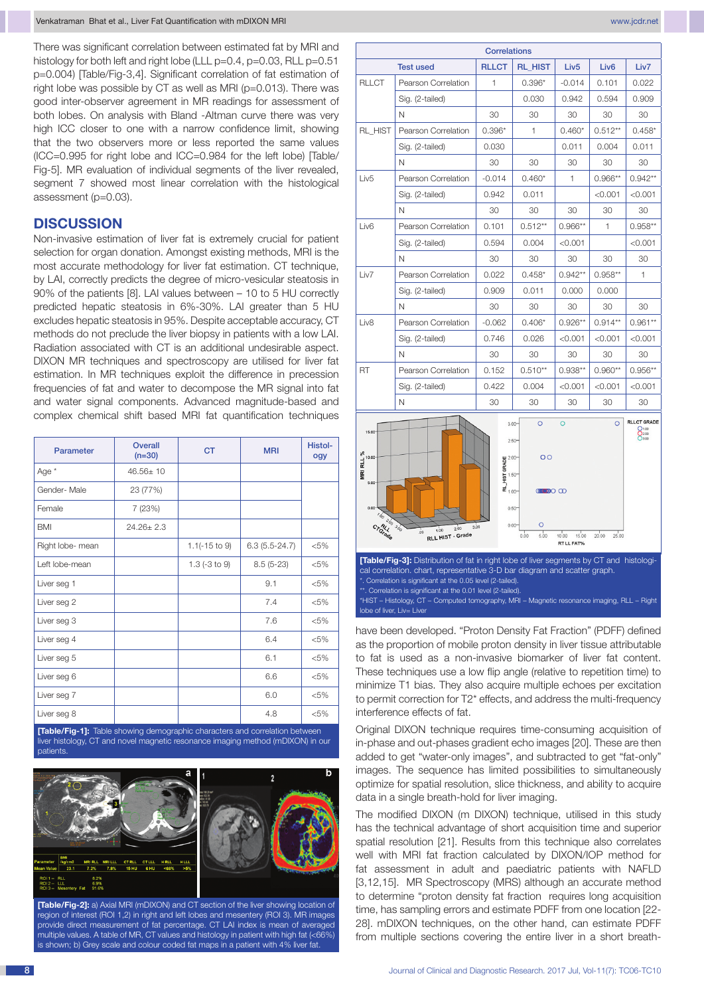There was significant correlation between estimated fat by MRI and histology for both left and right lobe (LLL p=0.4, p=0.03, RLL p=0.51 p=0.004) [Table/Fig-3,4]. Significant correlation of fat estimation of right lobe was possible by CT as well as MRI (p=0.013). There was good inter-observer agreement in MR readings for assessment of both lobes. On analysis with Bland -Altman curve there was very high ICC closer to one with a narrow confidence limit, showing that the two observers more or less reported the same values (ICC=0.995 for right lobe and ICC=0.984 for the left lobe) [Table/ Fig-5]. MR evaluation of individual segments of the liver revealed, segment 7 showed most linear correlation with the histological assessment (p=0.03).

## **Discussion**

Non-invasive estimation of liver fat is extremely crucial for patient selection for organ donation. Amongst existing methods, MRI is the most accurate methodology for liver fat estimation. CT technique, by LAI, correctly predicts the degree of micro-vesicular steatosis in 90% of the patients [8]. LAI values between – 10 to 5 HU correctly predicted hepatic steatosis in 6%-30%. LAI greater than 5 HU excludes hepatic steatosis in 95%. Despite acceptable accuracy, CT methods do not preclude the liver biopsy in patients with a low LAI. Radiation associated with CT is an additional undesirable aspect. DIXON MR techniques and spectroscopy are utilised for liver fat estimation. In MR techniques exploit the difference in precession frequencies of fat and water to decompose the MR signal into fat and water signal components. Advanced magnitude-based and complex chemical shift based MRI fat quantification techniques

| <b>Parameter</b> | <b>Overall</b><br>$(n=30)$ | <b>CT</b>                | <b>MRI</b>      | Histol-<br>ogy |
|------------------|----------------------------|--------------------------|-----------------|----------------|
| Age *            | $46.56 \pm 10$             |                          |                 |                |
| Gender-Male      | 23 (77%)                   |                          |                 |                |
| Female           | 7(23%)                     |                          |                 |                |
| <b>BMI</b>       | $24.26 \pm 2.3$            |                          |                 |                |
| Right lobe- mean |                            | $1.1(-15 \text{ to } 9)$ | $6.3(5.5-24.7)$ | $< 5\%$        |
| Left lobe-mean   |                            | $1.3$ (-3 to 9)          | $8.5(5-23)$     | $< 5\%$        |
| Liver seg 1      |                            |                          | 9.1             | $< 5\%$        |
| Liver seg 2      |                            |                          | 7.4             | $< 5\%$        |
| Liver seg 3      |                            |                          | 7.6             | $< 5\%$        |
| Liver seg 4      |                            |                          | 6.4             | $< 5\%$        |
| Liver seg 5      |                            |                          | 6.1             | $< 5\%$        |
| Liver seg 6      |                            |                          | 6.6             | $< 5\%$        |
| Liver seg 7      |                            |                          | 6.0             | $< 5\%$        |
| Liver seg 8      |                            |                          | 4.8             | $< 5\%$        |

**[Table/Fig-1]:** Table showing demographic characters and correlation between liver histology, CT and novel magnetic resonance imaging method (mDIXON) in our patients.



**[Table/Fig-2]:** a) Axial MRI (mDIXON) and CT section of the liver showing location of region of interest (ROI 1,2) in right and left lobes and mesentery (ROI 3). MR images provide direct measurement of fat percentage. CT LAI index is mean of averaged multiple values. A table of MR, CT values and histology in patient with high fat (<66%) is shown; b) Grey scale and colour coded fat maps in a patient with 4% liver fat.

|                                                                                                                                                                                                                                                                                                                                                                          |                                                                                         | <b>Correlations</b> |                |                  |                                             |           |
|--------------------------------------------------------------------------------------------------------------------------------------------------------------------------------------------------------------------------------------------------------------------------------------------------------------------------------------------------------------------------|-----------------------------------------------------------------------------------------|---------------------|----------------|------------------|---------------------------------------------|-----------|
|                                                                                                                                                                                                                                                                                                                                                                          | <b>Test used</b>                                                                        | <b>RLLCT</b>        | <b>RL HIST</b> | Liv <sub>5</sub> | Liv <sub>6</sub>                            | Liv7      |
| <b>RLLCT</b>                                                                                                                                                                                                                                                                                                                                                             | Pearson Correlation                                                                     | 1                   | $0.396*$       | $-0.014$         | 0.101                                       | 0.022     |
|                                                                                                                                                                                                                                                                                                                                                                          | Sig. (2-tailed)                                                                         |                     | 0.030          | 0.942            | 0.594                                       | 0.909     |
|                                                                                                                                                                                                                                                                                                                                                                          | N                                                                                       | 30                  | 30             | 30               | 30                                          | 30        |
| RL HIST<br>Pearson Correlation<br>Sig. (2-tailed)                                                                                                                                                                                                                                                                                                                        |                                                                                         | $0.396*$            | 1              | $0.460*$         | $0.512**$                                   | $0.458*$  |
|                                                                                                                                                                                                                                                                                                                                                                          |                                                                                         | 0.030               |                | 0.011            | 0.004                                       | 0.011     |
|                                                                                                                                                                                                                                                                                                                                                                          | N                                                                                       | 30                  | 30             | 30               | 30                                          | 30        |
| Liv <sub>5</sub>                                                                                                                                                                                                                                                                                                                                                         | Pearson Correlation                                                                     | $-0.014$            | $0.460*$       | $\mathbf{1}$     | $0.966**$                                   | $0.942**$ |
|                                                                                                                                                                                                                                                                                                                                                                          | Sig. (2-tailed)                                                                         | 0.942               | 0.011          |                  | $<$ 0.001                                   | < 0.001   |
|                                                                                                                                                                                                                                                                                                                                                                          | N                                                                                       | 30                  | 30             | 30               | 30                                          | 30        |
| Liv <sub>6</sub>                                                                                                                                                                                                                                                                                                                                                         | Pearson Correlation                                                                     | 0.101               | $0.512**$      | $0.966**$        | 1                                           | $0.958**$ |
|                                                                                                                                                                                                                                                                                                                                                                          | Sig. (2-tailed)                                                                         | 0.594               | 0.004          | < 0.001          |                                             | < 0.001   |
|                                                                                                                                                                                                                                                                                                                                                                          | N                                                                                       | 30                  | 30             | 30               | 30                                          | 30        |
| Liv7                                                                                                                                                                                                                                                                                                                                                                     | Pearson Correlation                                                                     | 0.022               | $0.458*$       | $0.942**$        | $0.958**$                                   | 1         |
|                                                                                                                                                                                                                                                                                                                                                                          | Sig. (2-tailed)                                                                         | 0.909               | 0.011          | 0.000            | 0.000                                       |           |
|                                                                                                                                                                                                                                                                                                                                                                          | N                                                                                       | 30                  | 30             | 30               | 30                                          | 30        |
| Liv <sub>8</sub>                                                                                                                                                                                                                                                                                                                                                         | Pearson Correlation                                                                     | $-0.062$            | $0.406*$       | $0.926**$        | $0.914**$                                   | $0.961**$ |
|                                                                                                                                                                                                                                                                                                                                                                          | Sig. (2-tailed)                                                                         | 0.746               | 0.026          | < 0.001          | < 0.001                                     | < 0.001   |
|                                                                                                                                                                                                                                                                                                                                                                          | N                                                                                       | 30                  | 30             | 30               | 30                                          | 30        |
| <b>RT</b>                                                                                                                                                                                                                                                                                                                                                                | Pearson Correlation                                                                     | 0.152               | $0.510**$      | $0.938**$        | $0.960**$                                   | $0.956**$ |
|                                                                                                                                                                                                                                                                                                                                                                          | Sig. (2-tailed)                                                                         | 0.422               | 0.004          | < 0.001          | < 0.001                                     | < 0.001   |
|                                                                                                                                                                                                                                                                                                                                                                          | N                                                                                       | 30                  | 30             | 30               | 30<br><b>RLLCT GRADE</b><br>$\circ$<br>8:80 | 30        |
| $\circ$<br>$\circ$<br>$3.00 -$<br>15.00<br>$2.50 -$<br>MRI RLL %<br>0.0<br>0 <sup>o</sup><br>BL_HIST GRADE<br>RL_H <sub>50</sub> -<br>1.00-<br>5.00<br><b>CODO CO</b><br>$0.00 -$<br>0.50<br>$^{7.00}$<br>$\circ$<br>0.00<br>3.000<br>3.00<br>CTGrade<br>2,00<br>1,00<br>00<br>0.00<br>5.00<br>25.00<br><b>RLL HIST - Grade</b><br>15.00<br>20.00<br>10.00<br>RT LL FAT% |                                                                                         |                     |                |                  |                                             |           |
|                                                                                                                                                                                                                                                                                                                                                                          | [Table/Fig-3]: Distribution of fat in right lobe of liver segments by CT and histologi- |                     |                |                  |                                             |           |

ation. chart, representative 3-D bar diagram and scatter grapl Correlation is significant at the 0.05 level (2-tailed). \*\*. Correlation is significant at the 0.01 level (2-tailed \*HIST – Histology, CT – Computed tomography, MRI – Magnetic resonance imaging, RLL – Right lobe of liver, Liv= Liver

have been developed. "Proton Density Fat Fraction" (PDFF) defined as the proportion of mobile proton density in liver tissue attributable to fat is used as a non-invasive biomarker of liver fat content. These techniques use a low flip angle (relative to repetition time) to minimize T1 bias. They also acquire multiple echoes per excitation to permit correction for T2\* effects, and address the multi-frequency interference effects of fat.

Original DIXON technique requires time-consuming acquisition of in-phase and out-phases gradient echo images [20]. These are then added to get "water-only images", and subtracted to get "fat-only" images. The sequence has limited possibilities to simultaneously optimize for spatial resolution, slice thickness, and ability to acquire data in a single breath-hold for liver imaging.

The modified DIXON (m DIXON) technique, utilised in this study has the technical advantage of short acquisition time and superior spatial resolution [21]. Results from this technique also correlates well with MRI fat fraction calculated by DIXON/IOP method for fat assessment in adult and paediatric patients with NAFLD [3,12,15]. MR Spectroscopy (MRS) although an accurate method to determine "proton density fat fraction requires long acquisition time, has sampling errors and estimate PDFF from one location [22- 28]. mDIXON techniques, on the other hand, can estimate PDFF from multiple sections covering the entire liver in a short breath-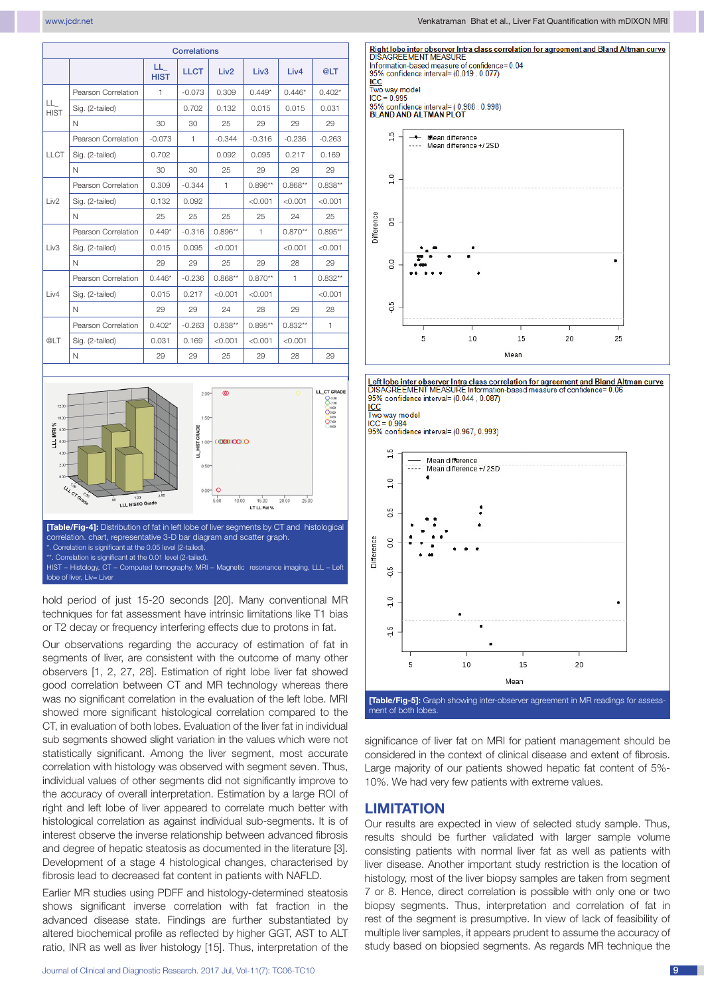| <b>Correlations</b>                                                                                                                                                                                                                                                                                                                                                                                                       |                     |                   |             |                  |                  |           |           |
|---------------------------------------------------------------------------------------------------------------------------------------------------------------------------------------------------------------------------------------------------------------------------------------------------------------------------------------------------------------------------------------------------------------------------|---------------------|-------------------|-------------|------------------|------------------|-----------|-----------|
|                                                                                                                                                                                                                                                                                                                                                                                                                           |                     | LL<br><b>HIST</b> | <b>LLCT</b> | Liv <sub>2</sub> | Liv <sub>3</sub> | Liv4      | @LT       |
| LL.<br><b>HIST</b>                                                                                                                                                                                                                                                                                                                                                                                                        | Pearson Correlation | 1                 | $-0.073$    | 0.309            | $0.449*$         | $0.446*$  | $0.402*$  |
|                                                                                                                                                                                                                                                                                                                                                                                                                           | Sig. (2-tailed)     |                   | 0.702       | 0.132            | 0.015            | 0.015     | 0.031     |
|                                                                                                                                                                                                                                                                                                                                                                                                                           | N                   | 30                | 30          | 25               | 29               | 29        | 29        |
| LLCT                                                                                                                                                                                                                                                                                                                                                                                                                      | Pearson Correlation | $-0.073$          | 1           | $-0.344$         | $-0.316$         | $-0.236$  | $-0.263$  |
|                                                                                                                                                                                                                                                                                                                                                                                                                           | Sig. (2-tailed)     | 0.702             |             | 0.092            | 0.095            | 0.217     | 0.169     |
|                                                                                                                                                                                                                                                                                                                                                                                                                           | N                   | 30                | 30          | 25               | 29               | 29        | 29        |
|                                                                                                                                                                                                                                                                                                                                                                                                                           | Pearson Correlation | 0.309             | $-0.344$    | 1                | $0.896**$        | $0.868**$ | $0.838**$ |
| Liv <sub>2</sub>                                                                                                                                                                                                                                                                                                                                                                                                          | Sig. (2-tailed)     | 0.132             | 0.092       |                  | < 0.001          | < 0.001   | < 0.001   |
|                                                                                                                                                                                                                                                                                                                                                                                                                           | N                   | 25                | 25          | 25               | 25               | 24        | 25        |
|                                                                                                                                                                                                                                                                                                                                                                                                                           | Pearson Correlation | $0.449*$          | $-0.316$    | $0.896**$        | 1                | $0.870**$ | $0.895**$ |
| Liv <sub>3</sub>                                                                                                                                                                                                                                                                                                                                                                                                          | Sig. (2-tailed)     | 0.015             | 0.095       | < 0.001          |                  | < 0.001   | $<$ 0.001 |
|                                                                                                                                                                                                                                                                                                                                                                                                                           | N                   | 29                | 29          | 25               | 29               | 28        | 29        |
|                                                                                                                                                                                                                                                                                                                                                                                                                           | Pearson Correlation | $0.446*$          | $-0.236$    | $0.868**$        | $0.870**$        | 1         | $0.832**$ |
| Liv4                                                                                                                                                                                                                                                                                                                                                                                                                      | Sig. (2-tailed)     | 0.015             | 0.217       | < 0.001          | <0.001           |           | $<$ 0.001 |
|                                                                                                                                                                                                                                                                                                                                                                                                                           | N                   | 29                | 29          | 24               | 28               | 29        | 28        |
|                                                                                                                                                                                                                                                                                                                                                                                                                           | Pearson Correlation | $0.402*$          | $-0.263$    | $0.838**$        | $0.895**$        | $0.832**$ | 1         |
| @LT                                                                                                                                                                                                                                                                                                                                                                                                                       | Sig. (2-tailed)     | 0.031             | 0.169       | < 0.001          | < 0.001          | < 0.001   |           |
|                                                                                                                                                                                                                                                                                                                                                                                                                           | N                   | 29                | 29          | 25               | 29               | 28        | 29        |
| LL_CT GRADE<br>$\circledcirc$<br>$\circ$<br>$2.00 -$<br>O <sub>3.00</sub><br>12.00<br>4.00<br>$\overline{O}$ s.co<br>10.00<br>1.50<br>6.00<br>LLL MRI %<br>8.00<br>LL_HIST GRADE<br>8.00<br>6.00<br><b>ODDD 0000</b><br>1.00<br>4.00<br>2.00<br>0.50<br>0.00<br>UL CT Grade<br>0.00 <sup>o</sup><br>O<br>2.00<br>1.00<br>$\infty$<br>10.00<br>20.00<br>25'00<br>500<br>15.00<br>LLL HISTO Grade<br>LT LL Fat%             |                     |                   |             |                  |                  |           |           |
| [Table/Fig-4]: Distribution of fat in left lobe of liver segments by CT and histological<br>correlation. chart, representative 3-D bar diagram and scatter graph.<br>*. Correlation is significant at the 0.05 level (2-tailed).<br>**. Correlation is significant at the 0.01 level (2-tailed).<br>HIST - Histology, CT - Computed tomography, MRI - Magnetic resonance imaging, LLL - Left<br>lobe of liver, Liv= Liver |                     |                   |             |                  |                  |           |           |

hold period of just 15-20 seconds [20]. Many conventional MR techniques for fat assessment have intrinsic limitations like T1 bias or T2 decay or frequency interfering effects due to protons in fat.

Our observations regarding the accuracy of estimation of fat in segments of liver, are consistent with the outcome of many other observers [1, 2, 27, 28]. Estimation of right lobe liver fat showed good correlation between CT and MR technology whereas there was no significant correlation in the evaluation of the left lobe. MRI showed more significant histological correlation compared to the CT, in evaluation of both lobes. Evaluation of the liver fat in individual sub segments showed slight variation in the values which were not statistically significant. Among the liver segment, most accurate correlation with histology was observed with segment seven. Thus, individual values of other segments did not significantly improve to the accuracy of overall interpretation. Estimation by a large ROI of right and left lobe of liver appeared to correlate much better with histological correlation as against individual sub-segments. It is of interest observe the inverse relationship between advanced fibrosis and degree of hepatic steatosis as documented in the literature [3]. Development of a stage 4 histological changes, characterised by fibrosis lead to decreased fat content in patients with NAFLD.

Earlier MR studies using PDFF and histology-determined steatosis shows significant inverse correlation with fat fraction in the advanced disease state. Findings are further substantiated by altered biochemical profile as reflected by higher GGT, AST to ALT ratio, INR as well as liver histology [15]. Thus, interpretation of the



Left lobe inter observer Intra class correlation for agreement and Bland Altman curve<br>DISAGREEMENT MEASURE Information-based measure of confidence=0.06 95% confidence interval= (0.044, 0.087)

 $\frac{ICC}{Two}$ <br>Two way model<br>ICC = 0.984

95% confidence interval= (0.967, 0.993)



significance of liver fat on MRI for patient management should be considered in the context of clinical disease and extent of fibrosis. Large majority of our patients showed hepatic fat content of 5%- 10%. We had very few patients with extreme values.

## **LIMITATION**

Our results are expected in view of selected study sample. Thus, results should be further validated with larger sample volume consisting patients with normal liver fat as well as patients with liver disease. Another important study restriction is the location of histology, most of the liver biopsy samples are taken from segment 7 or 8. Hence, direct correlation is possible with only one or two biopsy segments. Thus, interpretation and correlation of fat in rest of the segment is presumptive. In view of lack of feasibility of multiple liver samples, it appears prudent to assume the accuracy of study based on biopsied segments. As regards MR technique the